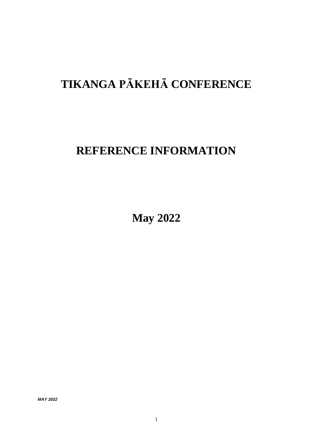# **TIKANGA PĀKEHĀ CONFERENCE**

## **REFERENCE INFORMATION**

**May 2022**

*MAY 2022*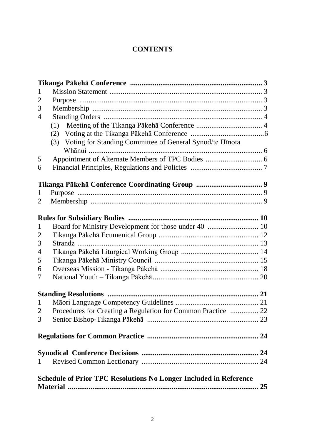## **CONTENTS**

| 1                                                                        |                                                              |  |  |
|--------------------------------------------------------------------------|--------------------------------------------------------------|--|--|
| $\overline{2}$                                                           |                                                              |  |  |
| 3                                                                        |                                                              |  |  |
| $\overline{4}$                                                           |                                                              |  |  |
|                                                                          | (1)                                                          |  |  |
|                                                                          |                                                              |  |  |
|                                                                          | (3) Voting for Standing Committee of General Synod/te Hinota |  |  |
|                                                                          |                                                              |  |  |
| 5                                                                        |                                                              |  |  |
| 6                                                                        |                                                              |  |  |
|                                                                          |                                                              |  |  |
|                                                                          |                                                              |  |  |
| 1                                                                        |                                                              |  |  |
| 2                                                                        |                                                              |  |  |
|                                                                          |                                                              |  |  |
|                                                                          |                                                              |  |  |
| 1                                                                        |                                                              |  |  |
| $\overline{2}$                                                           |                                                              |  |  |
| 3                                                                        |                                                              |  |  |
| $\overline{4}$                                                           |                                                              |  |  |
| 5                                                                        |                                                              |  |  |
| 6                                                                        |                                                              |  |  |
| 7                                                                        |                                                              |  |  |
|                                                                          |                                                              |  |  |
| $\mathbf{1}$                                                             |                                                              |  |  |
| 2                                                                        | Procedures for Creating a Regulation for Common Practice  22 |  |  |
| 3                                                                        |                                                              |  |  |
|                                                                          |                                                              |  |  |
|                                                                          |                                                              |  |  |
|                                                                          |                                                              |  |  |
| 1                                                                        |                                                              |  |  |
|                                                                          |                                                              |  |  |
| <b>Schedule of Prior TPC Resolutions No Longer Included in Reference</b> |                                                              |  |  |
| 25                                                                       |                                                              |  |  |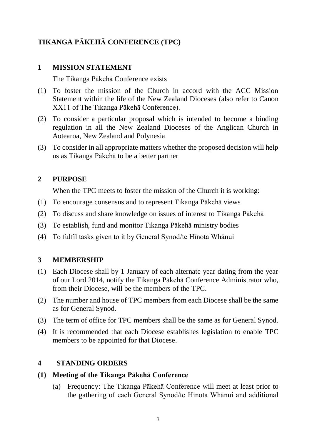## **TIKANGA PĀKEHĀ CONFERENCE (TPC)**

## **1 MISSION STATEMENT**

The Tikanga Pākehā Conference exists

- (1) To foster the mission of the Church in accord with the ACC Mission Statement within the life of the New Zealand Dioceses (also refer to Canon XX11 of The Tikanga Pākehā Conference).
- (2) To consider a particular proposal which is intended to become a binding regulation in all the New Zealand Dioceses of the Anglican Church in Aotearoa, New Zealand and Polynesia
- (3) To consider in all appropriate matters whether the proposed decision will help us as Tikanga Pākehā to be a better partner

## **2 PURPOSE**

When the TPC meets to foster the mission of the Church it is working:

- (1) To encourage consensus and to represent Tikanga Pākehā views
- (2) To discuss and share knowledge on issues of interest to Tikanga Pākehā
- (3) To establish, fund and monitor Tikanga Pākehā ministry bodies
- (4) To fulfil tasks given to it by General Synod/te Hīnota Whānui

## **3 MEMBERSHIP**

- (1) Each Diocese shall by 1 January of each alternate year dating from the year of our Lord 2014, notify the Tikanga Pākehā Conference Administrator who, from their Diocese, will be the members of the TPC.
- (2) The number and house of TPC members from each Diocese shall be the same as for General Synod.
- (3) The term of office for TPC members shall be the same as for General Synod.
- (4) It is recommended that each Diocese establishes legislation to enable TPC members to be appointed for that Diocese.

## **4 STANDING ORDERS**

#### **(1) Meeting of the Tikanga Pākehā Conference**

(a) Frequency: The Tikanga Pākehā Conference will meet at least prior to the gathering of each General Synod/te Hīnota Whānui and additional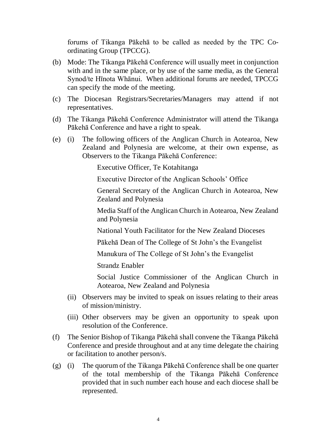forums of Tikanga Pākehā to be called as needed by the TPC Coordinating Group (TPCCG).

- (b) Mode: The Tikanga Pākehā Conference will usually meet in conjunction with and in the same place, or by use of the same media, as the General Synod/te Hīnota Whānui. When additional forums are needed, TPCCG can specify the mode of the meeting.
- (c) The Diocesan Registrars/Secretaries/Managers may attend if not representatives.
- (d) The Tikanga Pākehā Conference Administrator will attend the Tikanga Pākehā Conference and have a right to speak.
- (e) (i) The following officers of the Anglican Church in Aotearoa, New Zealand and Polynesia are welcome, at their own expense, as Observers to the Tikanga Pākehā Conference:

Executive Officer, Te Kotahitanga

Executive Director of the Anglican Schools' Office

General Secretary of the Anglican Church in Aotearoa, New Zealand and Polynesia

Media Staff of the Anglican Church in Aotearoa, New Zealand and Polynesia

National Youth Facilitator for the New Zealand Dioceses

Pākehā Dean of The College of St John's the Evangelist

Manukura of The College of St John's the Evangelist

Strandz Enabler

Social Justice Commissioner of the Anglican Church in Aotearoa, New Zealand and Polynesia

- (ii) Observers may be invited to speak on issues relating to their areas of mission/ministry.
- (iii) Other observers may be given an opportunity to speak upon resolution of the Conference.
- (f) The Senior Bishop of Tikanga Pākehā shall convene the Tikanga Pākehā Conference and preside throughout and at any time delegate the chairing or facilitation to another person/s.
- (g) (i) The quorum of the Tikanga Pākehā Conference shall be one quarter of the total membership of the Tikanga Pākehā Conference provided that in such number each house and each diocese shall be represented.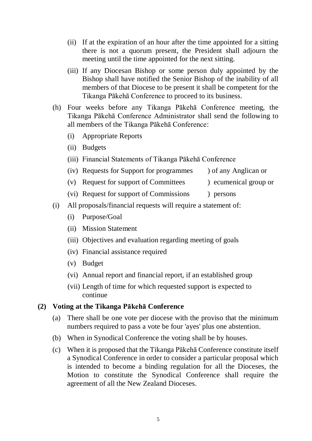- (ii) If at the expiration of an hour after the time appointed for a sitting there is not a quorum present, the President shall adjourn the meeting until the time appointed for the next sitting.
- (iii) If any Diocesan Bishop or some person duly appointed by the Bishop shall have notified the Senior Bishop of the inability of all members of that Diocese to be present it shall be competent for the Tikanga Pākehā Conference to proceed to its business.
- (h) Four weeks before any Tikanga Pākehā Conference meeting, the Tikanga Pākehā Conference Administrator shall send the following to all members of the Tikanga Pākehā Conference:
	- (i) Appropriate Reports
	- (ii) Budgets
	- (iii) Financial Statements of Tikanga Pākehā Conference
	- (iv) Requests for Support for programmes ) of any Anglican or
	- (v) Request for support of Committees ) ecumenical group or
		-
	- (vi) Request for support of Commissions ) persons
- (i) All proposals/financial requests will require a statement of:
	- (i) Purpose/Goal
	- (ii) Mission Statement
	- (iii) Objectives and evaluation regarding meeting of goals
	- (iv) Financial assistance required
	- (v) Budget
	- (vi) Annual report and financial report, if an established group
	- (vii) Length of time for which requested support is expected to continue

#### **(2) Voting at the Tikanga Pākehā Conference**

- (a) There shall be one vote per diocese with the proviso that the minimum numbers required to pass a vote be four 'ayes' plus one abstention.
- (b) When in Synodical Conference the voting shall be by houses.
- (c) When it is proposed that the Tikanga Pākehā Conference constitute itself a Synodical Conference in order to consider a particular proposal which is intended to become a binding regulation for all the Dioceses, the Motion to constitute the Synodical Conference shall require the agreement of all the New Zealand Dioceses.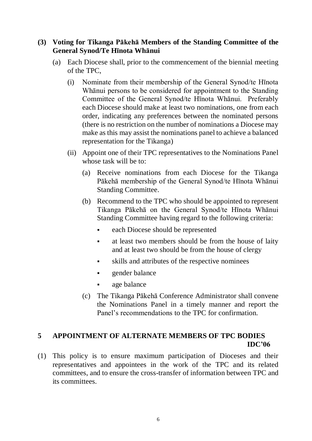#### **(3) Voting for Tikanga Pākehā Members of the Standing Committee of the General Synod/Te Hīnota Whānui**

- (a) Each Diocese shall, prior to the commencement of the biennial meeting of the TPC,
	- (i) Nominate from their membership of the General Synod/te Hīnota Whānui persons to be considered for appointment to the Standing Committee of the General Synod/te Hīnota Whānui. Preferably each Diocese should make at least two nominations, one from each order, indicating any preferences between the nominated persons (there is no restriction on the number of nominations a Diocese may make as this may assist the nominations panel to achieve a balanced representation for the Tikanga)
	- (ii) Appoint one of their TPC representatives to the Nominations Panel whose task will be to:
		- (a) Receive nominations from each Diocese for the Tikanga Pākehā membership of the General Synod/te Hīnota Whānui Standing Committee.
		- (b) Recommend to the TPC who should be appointed to represent Tikanga Pākehā on the General Synod/te Hīnota Whānui Standing Committee having regard to the following criteria:
			- each Diocese should be represented
			- at least two members should be from the house of laity and at least two should be from the house of clergy
			- skills and attributes of the respective nominees
			- gender balance
			- age balance
		- (c) The Tikanga Pākehā Conference Administrator shall convene the Nominations Panel in a timely manner and report the Panel's recommendations to the TPC for confirmation.

#### **5 APPOINTMENT OF ALTERNATE MEMBERS OF TPC BODIES IDC'06**

(1) This policy is to ensure maximum participation of Dioceses and their representatives and appointees in the work of the TPC and its related committees, and to ensure the cross-transfer of information between TPC and its committees.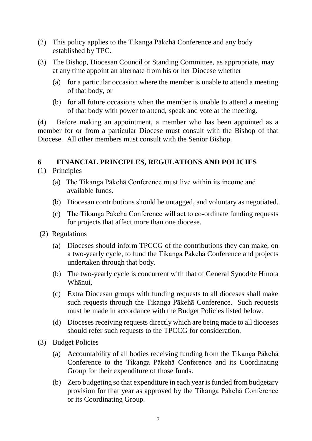- (2) This policy applies to the Tikanga Pākehā Conference and any body established by TPC.
- (3) The Bishop, Diocesan Council or Standing Committee, as appropriate, may at any time appoint an alternate from his or her Diocese whether
	- (a) for a particular occasion where the member is unable to attend a meeting of that body, or
	- (b) for all future occasions when the member is unable to attend a meeting of that body with power to attend, speak and vote at the meeting.

(4) Before making an appointment, a member who has been appointed as a member for or from a particular Diocese must consult with the Bishop of that Diocese. All other members must consult with the Senior Bishop.

## **6 FINANCIAL PRINCIPLES, REGULATIONS AND POLICIES**

- (1) Principles
	- (a) The Tikanga Pākehā Conference must live within its income and available funds.
	- (b) Diocesan contributions should be untagged, and voluntary as negotiated.
	- (c) The Tikanga Pākehā Conference will act to co-ordinate funding requests for projects that affect more than one diocese.
- (2) Regulations
	- (a) Dioceses should inform TPCCG of the contributions they can make, on a two-yearly cycle, to fund the Tikanga Pākehā Conference and projects undertaken through that body.
	- (b) The two-yearly cycle is concurrent with that of General Synod/te Hīnota Whānui,
	- (c) Extra Diocesan groups with funding requests to all dioceses shall make such requests through the Tikanga Pākehā Conference. Such requests must be made in accordance with the Budget Policies listed below.
	- (d) Dioceses receiving requests directly which are being made to all dioceses should refer such requests to the TPCCG for consideration.
- (3) Budget Policies
	- (a) Accountability of all bodies receiving funding from the Tikanga Pākehā Conference to the Tikanga Pākehā Conference and its Coordinating Group for their expenditure of those funds.
	- (b) Zero budgeting so that expenditure in each year is funded from budgetary provision for that year as approved by the Tikanga Pākehā Conference or its Coordinating Group.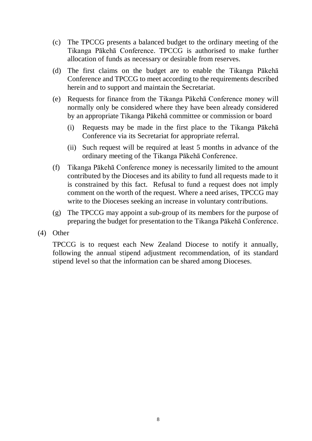- (c) The TPCCG presents a balanced budget to the ordinary meeting of the Tikanga Pākehā Conference. TPCCG is authorised to make further allocation of funds as necessary or desirable from reserves.
- (d) The first claims on the budget are to enable the Tikanga Pākehā Conference and TPCCG to meet according to the requirements described herein and to support and maintain the Secretariat.
- (e) Requests for finance from the Tikanga Pākehā Conference money will normally only be considered where they have been already considered by an appropriate Tikanga Pākehā committee or commission or board
	- (i) Requests may be made in the first place to the Tikanga Pākehā Conference via its Secretariat for appropriate referral.
	- (ii) Such request will be required at least 5 months in advance of the ordinary meeting of the Tikanga Pākehā Conference.
- (f) Tikanga Pākehā Conference money is necessarily limited to the amount contributed by the Dioceses and its ability to fund all requests made to it is constrained by this fact. Refusal to fund a request does not imply comment on the worth of the request. Where a need arises, TPCCG may write to the Dioceses seeking an increase in voluntary contributions.
- (g) The TPCCG may appoint a sub-group of its members for the purpose of preparing the budget for presentation to the Tikanga Pākehā Conference.
- (4) Other

TPCCG is to request each New Zealand Diocese to notify it annually, following the annual stipend adjustment recommendation, of its standard stipend level so that the information can be shared among Dioceses.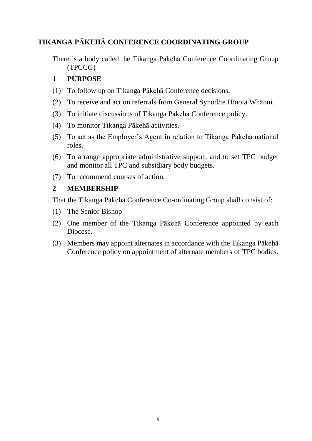## **TIKANGA PĀKEHĀ CONFERENCE COORDINATING GROUP**

There is a body called the Tikanga Pākehā Conference Coordinating Group (TPCCG)

#### **1 PURPOSE**

- (1) To follow up on Tikanga Pākehā Conference decisions.
- (2) To receive and act on referrals from General Synod/te Hīnota Whānui.
- (3) To initiate discussions of Tikanga Pākehā Conference policy.
- (4) To monitor Tikanga Pākehā activities.
- (5) To act as the Employer's Agent in relation to Tikanga Pākehā national roles.
- (6) To arrange appropriate administrative support, and to set TPC budget and monitor all TPC and subsidiary body budgets.
- (7) To recommend courses of action.

#### **2 MEMBERSHIP**

That the Tikanga Pākehā Conference Co-ordinating Group shall consist of:

- (1) The Senior Bishop
- (2) One member of the Tikanga Pākehā Conference appointed by each Diocese.
- (3) Members may appoint alternates in accordance with the Tikanga Pākehā Conference policy on appointment of alternate members of TPC bodies.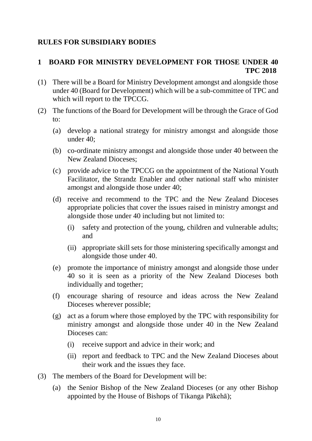### **RULES FOR SUBSIDIARY BODIES**

## **1 BOARD FOR MINISTRY DEVELOPMENT FOR THOSE UNDER 40 TPC 2018**

- (1) There will be a Board for Ministry Development amongst and alongside those under 40 (Board for Development) which will be a sub-committee of TPC and which will report to the TPCCG.
- (2) The functions of the Board for Development will be through the Grace of God to:
	- (a) develop a national strategy for ministry amongst and alongside those under 40;
	- (b) co-ordinate ministry amongst and alongside those under 40 between the New Zealand Dioceses;
	- (c) provide advice to the TPCCG on the appointment of the National Youth Facilitator, the Strandz Enabler and other national staff who minister amongst and alongside those under 40;
	- (d) receive and recommend to the TPC and the New Zealand Dioceses appropriate policies that cover the issues raised in ministry amongst and alongside those under 40 including but not limited to:
		- (i) safety and protection of the young, children and vulnerable adults; and
		- (ii) appropriate skill sets for those ministering specifically amongst and alongside those under 40.
	- (e) promote the importance of ministry amongst and alongside those under 40 so it is seen as a priority of the New Zealand Dioceses both individually and together;
	- (f) encourage sharing of resource and ideas across the New Zealand Dioceses wherever possible;
	- (g) act as a forum where those employed by the TPC with responsibility for ministry amongst and alongside those under 40 in the New Zealand Dioceses can:
		- (i) receive support and advice in their work; and
		- (ii) report and feedback to TPC and the New Zealand Dioceses about their work and the issues they face.
- (3) The members of the Board for Development will be:
	- (a) the Senior Bishop of the New Zealand Dioceses (or any other Bishop appointed by the House of Bishops of Tikanga Pākehā);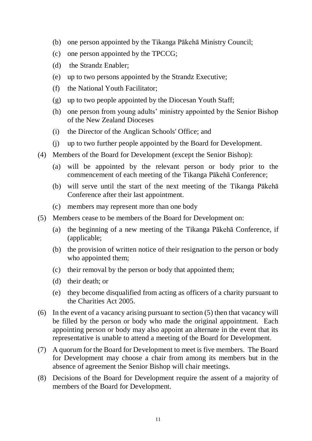- (b) one person appointed by the Tikanga Pākehā Ministry Council;
- (c) one person appointed by the TPCCG;
- (d) the Strandz Enabler;
- (e) up to two persons appointed by the Strandz Executive;
- (f) the National Youth Facilitator;
- (g) up to two people appointed by the Diocesan Youth Staff;
- (h) one person from young adults' ministry appointed by the Senior Bishop of the New Zealand Dioceses
- (i) the Director of the Anglican Schools' Office; and
- (j) up to two further people appointed by the Board for Development.
- (4) Members of the Board for Development (except the Senior Bishop):
	- (a) will be appointed by the relevant person or body prior to the commencement of each meeting of the Tikanga Pākehā Conference;
	- (b) will serve until the start of the next meeting of the Tikanga Pākehā Conference after their last appointment.
	- (c) members may represent more than one body
- (5) Members cease to be members of the Board for Development on:
	- (a) the beginning of a new meeting of the Tikanga Pākehā Conference, if (applicable;
	- (b) the provision of written notice of their resignation to the person or body who appointed them;
	- (c) their removal by the person or body that appointed them;
	- (d) their death; or
	- (e) they become disqualified from acting as officers of a charity pursuant to the Charities Act 2005.
- (6) In the event of a vacancy arising pursuant to section (5) then that vacancy will be filled by the person or body who made the original appointment. Each appointing person or body may also appoint an alternate in the event that its representative is unable to attend a meeting of the Board for Development.
- (7) A quorum for the Board for Development to meet is five members. The Board for Development may choose a chair from among its members but in the absence of agreement the Senior Bishop will chair meetings.
- (8) Decisions of the Board for Development require the assent of a majority of members of the Board for Development.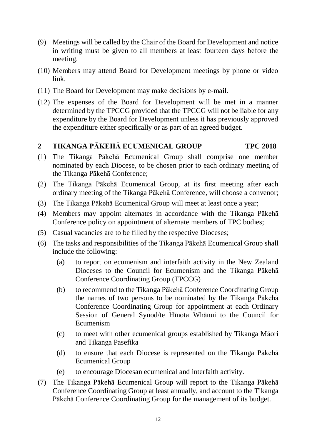- (9) Meetings will be called by the Chair of the Board for Development and notice in writing must be given to all members at least fourteen days before the meeting.
- (10) Members may attend Board for Development meetings by phone or video link.
- (11) The Board for Development may make decisions by e-mail.
- (12) The expenses of the Board for Development will be met in a manner determined by the TPCCG provided that the TPCCG will not be liable for any expenditure by the Board for Development unless it has previously approved the expenditure either specifically or as part of an agreed budget.

## **2 TIKANGA PĀKEHĀ ECUMENICAL GROUP TPC 2018**

- (1) The Tikanga Pākehā Ecumenical Group shall comprise one member nominated by each Diocese, to be chosen prior to each ordinary meeting of the Tikanga Pākehā Conference;
- (2) The Tikanga Pākehā Ecumenical Group, at its first meeting after each ordinary meeting of the Tikanga Pākehā Conference, will choose a convenor;
- (3) The Tikanga Pākehā Ecumenical Group will meet at least once a year;
- (4) Members may appoint alternates in accordance with the Tikanga Pākehā Conference policy on appointment of alternate members of TPC bodies;
- (5) Casual vacancies are to be filled by the respective Dioceses;
- (6) The tasks and responsibilities of the Tikanga Pākehā Ecumenical Group shall include the following:
	- (a) to report on ecumenism and interfaith activity in the New Zealand Dioceses to the Council for Ecumenism and the Tikanga Pākehā Conference Coordinating Group (TPCCG)
	- (b) to recommend to the Tikanga Pākehā Conference Coordinating Group the names of two persons to be nominated by the Tikanga Pākehā Conference Coordinating Group for appointment at each Ordinary Session of General Synod/te Hīnota Whānui to the Council for Ecumenism
	- (c) to meet with other ecumenical groups established by Tikanga Māori and Tikanga Pasefika
	- (d) to ensure that each Diocese is represented on the Tikanga Pākehā Ecumenical Group
	- (e) to encourage Diocesan ecumenical and interfaith activity.
- (7) The Tikanga Pākehā Ecumenical Group will report to the Tikanga Pākehā Conference Coordinating Group at least annually, and account to the Tikanga Pākehā Conference Coordinating Group for the management of its budget.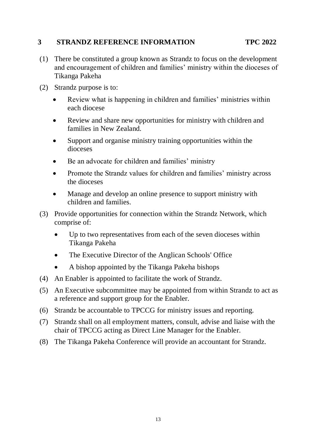#### **3 STRANDZ REFERENCE INFORMATION TPC 2022**

- (1) There be constituted a group known as Strandz to focus on the development and encouragement of children and families' ministry within the dioceses of Tikanga Pakeha
- (2) Strandz purpose is to:
	- Review what is happening in children and families' ministries within each diocese
	- Review and share new opportunities for ministry with children and families in New Zealand.
	- Support and organise ministry training opportunities within the dioceses
	- Be an advocate for children and families' ministry
	- Promote the Strandz values for children and families' ministry across the dioceses
	- Manage and develop an online presence to support ministry with children and families.
- (3) Provide opportunities for connection within the Strandz Network, which comprise of:
	- Up to two representatives from each of the seven dioceses within Tikanga Pakeha
	- The Executive Director of the Anglican Schools' Office
	- A bishop appointed by the Tikanga Pakeha bishops
- (4) An Enabler is appointed to facilitate the work of Strandz.
- (5) An Executive subcommittee may be appointed from within Strandz to act as a reference and support group for the Enabler.
- (6) Strandz be accountable to TPCCG for ministry issues and reporting.
- (7) Strandz shall on all employment matters, consult, advise and liaise with the chair of TPCCG acting as Direct Line Manager for the Enabler.
- (8) The Tikanga Pakeha Conference will provide an accountant for Strandz.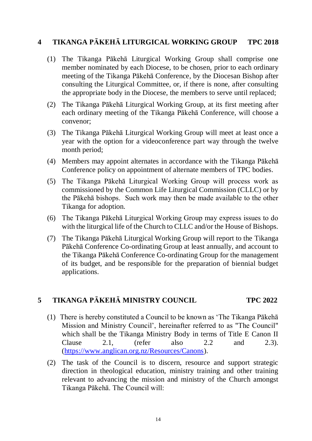#### **4 TIKANGA PĀKEHĀ LITURGICAL WORKING GROUP TPC 2018**

- (1) The Tikanga Pākehā Liturgical Working Group shall comprise one member nominated by each Diocese, to be chosen, prior to each ordinary meeting of the Tikanga Pākehā Conference, by the Diocesan Bishop after consulting the Liturgical Committee, or, if there is none, after consulting the appropriate body in the Diocese, the members to serve until replaced;
- (2) The Tikanga Pākehā Liturgical Working Group, at its first meeting after each ordinary meeting of the Tikanga Pākehā Conference, will choose a convenor;
- (3) The Tikanga Pākehā Liturgical Working Group will meet at least once a year with the option for a videoconference part way through the twelve month period;
- (4) Members may appoint alternates in accordance with the Tikanga Pākehā Conference policy on appointment of alternate members of TPC bodies.
- (5) The Tikanga Pākehā Liturgical Working Group will process work as commissioned by the Common Life Liturgical Commission (CLLC) or by the Pākehā bishops. Such work may then be made available to the other Tikanga for adoption.
- (6) The Tikanga Pākehā Liturgical Working Group may express issues to do with the liturgical life of the Church to CLLC and/or the House of Bishops.
- (7) The Tikanga Pākehā Liturgical Working Group will report to the Tikanga Pākehā Conference Co-ordinating Group at least annually, and account to the Tikanga Pākehā Conference Co-ordinating Group for the management of its budget, and be responsible for the preparation of biennial budget applications.

#### **5 TIKANGA PĀKEHĀ MINISTRY COUNCIL TPC 2022**

- (1) There is hereby constituted a Council to be known as 'The Tikanga Pākehā Mission and Ministry Council', hereinafter referred to as "The Council" which shall be the Tikanga Ministry Body in terms of Title E Canon II Clause 2.1, (refer also 2.2 and 2.3). [\(https://www.anglican.org.nz/Resources/Canons\)](https://www.anglican.org.nz/Resources/Canons).
- (2) The task of the Council is to discern, resource and support strategic direction in theological education, ministry training and other training relevant to advancing the mission and ministry of the Church amongst Tikanga Pākehā. The Council will: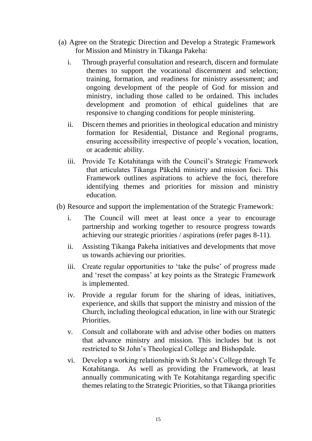- (a) Agree on the Strategic Direction and Develop a Strategic Framework for Mission and Ministry in Tikanga Pakeha:
	- i. Through prayerful consultation and research, discern and formulate themes to support the vocational discernment and selection; training, formation, and readiness for ministry assessment; and ongoing development of the people of God for mission and ministry, including those called to be ordained. This includes development and promotion of ethical guidelines that are responsive to changing conditions for people ministering.
	- ii. Discern themes and priorities in theological education and ministry formation for Residential, Distance and Regional programs, ensuring accessibility irrespective of people's vocation, location, or academic ability.
	- iii. Provide Te Kotahitanga with the Council's Strategic Framework that articulates Tikanga Pākehā ministry and mission foci. This Framework outlines aspirations to achieve the foci, therefore identifying themes and priorities for mission and ministry education.
- (b) Resource and support the implementation of the Strategic Framework:
	- i. The Council will meet at least once a year to encourage partnership and working together to resource progress towards achieving our strategic priorities / aspirations (refer pages 8-11).
	- ii. Assisting Tikanga Pakeha initiatives and developments that move us towards achieving our priorities.
	- iii. Create regular opportunities to 'take the pulse' of progress made and 'reset the compass' at key points as the Strategic Framework is implemented.
	- iv. Provide a regular forum for the sharing of ideas, initiatives, experience, and skills that support the ministry and mission of the Church, including theological education, in line with our Strategic Priorities.
	- v. Consult and collaborate with and advise other bodies on matters that advance ministry and mission. This includes but is not restricted to St John's Theological College and Bishopdale.
	- vi. Develop a working relationship with St John's College through Te Kotahitanga. As well as providing the Framework, at least annually communicating with Te Kotahitanga regarding specific themes relating to the Strategic Priorities, so that Tikanga priorities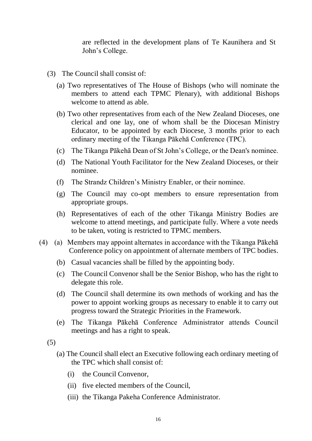are reflected in the development plans of Te Kaunihera and St John's College.

- (3) The Council shall consist of:
	- (a) Two representatives of The House of Bishops (who will nominate the members to attend each TPMC Plenary), with additional Bishops welcome to attend as able.
	- (b) Two other representatives from each of the New Zealand Dioceses, one clerical and one lay, one of whom shall be the Diocesan Ministry Educator, to be appointed by each Diocese, 3 months prior to each ordinary meeting of the Tikanga Pākehā Conference (TPC).
	- (c) The Tikanga Pākehā Dean of St John's College, or the Dean's nominee.
	- (d) The National Youth Facilitator for the New Zealand Dioceses, or their nominee.
	- (f) The Strandz Children's Ministry Enabler, or their nominee.
	- (g) The Council may co-opt members to ensure representation from appropriate groups.
	- (h) Representatives of each of the other Tikanga Ministry Bodies are welcome to attend meetings, and participate fully. Where a vote needs to be taken, voting is restricted to TPMC members.
- (4) (a) Members may appoint alternates in accordance with the Tikanga Pākehā Conference policy on appointment of alternate members of TPC bodies.
	- (b) Casual vacancies shall be filled by the appointing body.
	- (c) The Council Convenor shall be the Senior Bishop, who has the right to delegate this role.
	- (d) The Council shall determine its own methods of working and has the power to appoint working groups as necessary to enable it to carry out progress toward the Strategic Priorities in the Framework.
	- (e) The Tikanga Pākehā Conference Administrator attends Council meetings and has a right to speak.
	- (5)
		- (a) The Council shall elect an Executive following each ordinary meeting of the TPC which shall consist of:
			- (i) the Council Convenor,
			- (ii) five elected members of the Council,
			- (iii) the Tikanga Pakeha Conference Administrator.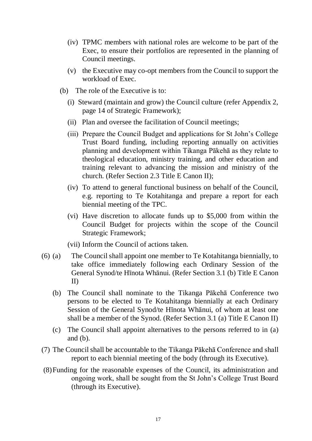- (iv) TPMC members with national roles are welcome to be part of the Exec, to ensure their portfolios are represented in the planning of Council meetings.
- (v) the Executive may co-opt members from the Council to support the workload of Exec.
- (b) The role of the Executive is to:
	- (i) Steward (maintain and grow) the Council culture (refer Appendix 2, page 14 of Strategic Framework);
	- (ii) Plan and oversee the facilitation of Council meetings;
	- (iii) Prepare the Council Budget and applications for St John's College Trust Board funding, including reporting annually on activities planning and development within Tikanga Pākehā as they relate to theological education, ministry training, and other education and training relevant to advancing the mission and ministry of the church. (Refer Section 2.3 Title E Canon II);
	- (iv) To attend to general functional business on behalf of the Council, e.g. reporting to Te Kotahitanga and prepare a report for each biennial meeting of the TPC.
	- (vi) Have discretion to allocate funds up to \$5,000 from within the Council Budget for projects within the scope of the Council Strategic Framework;

(vii) Inform the Council of actions taken.

- (6) (a) The Council shall appoint one member to Te Kotahitanga biennially, to take office immediately following each Ordinary Session of the General Synod/te Hīnota Whānui. (Refer Section 3.1 (b) Title E Canon II)
	- (b) The Council shall nominate to the Tikanga Pākehā Conference two persons to be elected to Te Kotahitanga biennially at each Ordinary Session of the General Synod/te Hīnota Whānui, of whom at least one shall be a member of the Synod. (Refer Section 3.1 (a) Title E Canon II)
	- (c) The Council shall appoint alternatives to the persons referred to in (a) and  $(b)$ .
- (7) The Council shall be accountable to the Tikanga Pākehā Conference and shall report to each biennial meeting of the body (through its Executive).
- (8)Funding for the reasonable expenses of the Council, its administration and ongoing work, shall be sought from the St John's College Trust Board (through its Executive).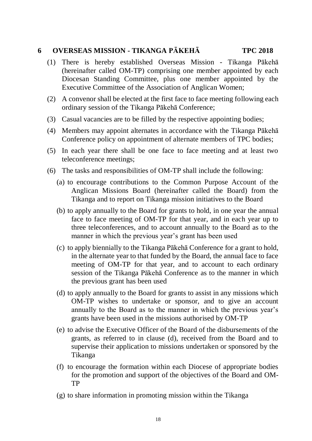## **6 OVERSEAS MISSION - TIKANGA PĀKEHĀ TPC 2018**

- (1) There is hereby established Overseas Mission Tikanga Pākehā (hereinafter called OM-TP) comprising one member appointed by each Diocesan Standing Committee, plus one member appointed by the Executive Committee of the Association of Anglican Women;
- (2) A convenor shall be elected at the first face to face meeting following each ordinary session of the Tikanga Pākehā Conference;
- (3) Casual vacancies are to be filled by the respective appointing bodies;
- (4) Members may appoint alternates in accordance with the Tikanga Pākehā Conference policy on appointment of alternate members of TPC bodies;
- (5) In each year there shall be one face to face meeting and at least two teleconference meetings;
- (6) The tasks and responsibilities of OM-TP shall include the following:
	- (a) to encourage contributions to the Common Purpose Account of the Anglican Missions Board (hereinafter called the Board) from the Tikanga and to report on Tikanga mission initiatives to the Board
	- (b) to apply annually to the Board for grants to hold, in one year the annual face to face meeting of OM-TP for that year, and in each year up to three teleconferences, and to account annually to the Board as to the manner in which the previous year's grant has been used
	- (c) to apply biennially to the Tikanga Pākehā Conference for a grant to hold, in the alternate year to that funded by the Board, the annual face to face meeting of OM-TP for that year, and to account to each ordinary session of the Tikanga Pākehā Conference as to the manner in which the previous grant has been used
	- (d) to apply annually to the Board for grants to assist in any missions which OM-TP wishes to undertake or sponsor, and to give an account annually to the Board as to the manner in which the previous year's grants have been used in the missions authorised by OM-TP
	- (e) to advise the Executive Officer of the Board of the disbursements of the grants, as referred to in clause (d), received from the Board and to supervise their application to missions undertaken or sponsored by the Tikanga
	- (f) to encourage the formation within each Diocese of appropriate bodies for the promotion and support of the objectives of the Board and OM-TP
	- (g) to share information in promoting mission within the Tikanga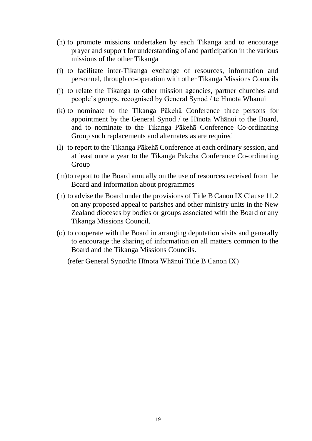- (h) to promote missions undertaken by each Tikanga and to encourage prayer and support for understanding of and participation in the various missions of the other Tikanga
- (i) to facilitate inter-Tikanga exchange of resources, information and personnel, through co-operation with other Tikanga Missions Councils
- (j) to relate the Tikanga to other mission agencies, partner churches and people's groups, recognised by General Synod / te Hīnota Whānui
- (k) to nominate to the Tikanga Pākehā Conference three persons for appointment by the General Synod / te Hīnota Whānui to the Board, and to nominate to the Tikanga Pākehā Conference Co-ordinating Group such replacements and alternates as are required
- (l) to report to the Tikanga Pākehā Conference at each ordinary session, and at least once a year to the Tikanga Pākehā Conference Co-ordinating Group
- (m)to report to the Board annually on the use of resources received from the Board and information about programmes
- (n) to advise the Board under the provisions of Title B Canon IX Clause 11.2 on any proposed appeal to parishes and other ministry units in the New Zealand dioceses by bodies or groups associated with the Board or any Tikanga Missions Council.
- (o) to cooperate with the Board in arranging deputation visits and generally to encourage the sharing of information on all matters common to the Board and the Tikanga Missions Councils.

(refer General Synod/te Hīnota Whānui Title B Canon IX)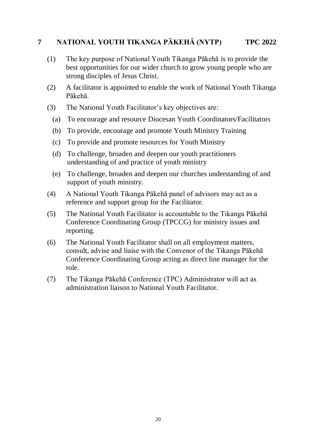#### **7 NATIONAL YOUTH TIKANGA PĀKEHĀ (NYTP) TPC 2022**

- (1) The key purpose of National Youth Tikanga Pākehā is to provide the best opportunities for our wider church to grow young people who are strong disciples of Jesus Christ.
- (2) A facilitator is appointed to enable the work of National Youth Tikanga Pākehā.
- (3) The National Youth Facilitator's key objectives are:
	- (a) To encourage and resource Diocesan Youth Coordinators/Facilitators
	- (b) To provide, encourage and promote Youth Ministry Training
	- (c) To provide and promote resources for Youth Ministry
	- (d) To challenge, broaden and deepen our youth practitioners understanding of and practice of youth ministry
	- (e) To challenge, broaden and deepen our churches understanding of and support of youth ministry.
- (4) A National Youth Tikanga Pākehā panel of advisors may act as a reference and support group for the Facilitator.
- (5) The National Youth Facilitator is accountable to the Tikanga Pākehā Conference Coordinating Group (TPCCG) for ministry issues and reporting.
- (6) The National Youth Facilitator shall on all employment matters, consult, advise and liaise with the Convenor of the Tikanga Pākehā Conference Coordinating Group acting as direct line manager for the role.
- (7) The Tikanga Pākehā Conference (TPC) Administrator will act as administration liaison to National Youth Facilitator.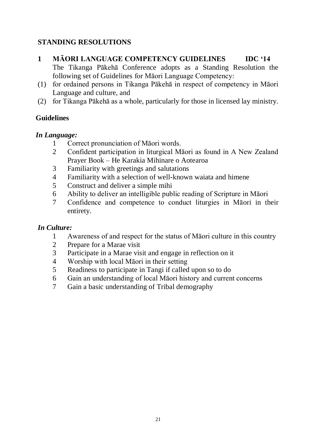## **STANDING RESOLUTIONS**

## **1 MĀORI LANGUAGE COMPETENCY GUIDELINES IDC '14**

The Tikanga Pākehā Conference adopts as a Standing Resolution the following set of Guidelines for Māori Language Competency:

- (1) for ordained persons in Tikanga Pākehā in respect of competency in Māori Language and culture, and
- (2) for Tikanga Pākehā as a whole, particularly for those in licensed lay ministry.

## **Guidelines**

## *In Language:*

- 1 Correct pronunciation of Māori words.
- 2 Confident participation in liturgical Māori as found in A New Zealand Prayer Book – He Karakia Mihinare o Aotearoa
- 3 Familiarity with greetings and salutations
- 4 Familiarity with a selection of well-known waiata and himene
- 5 Construct and deliver a simple mihi
- 6 Ability to deliver an intelligible public reading of Scripture in Māori
- 7 Confidence and competence to conduct liturgies in Māori in their entirety.

## *In Culture:*

- 1 Awareness of and respect for the status of Māori culture in this country
- 2 Prepare for a Marae visit
- 3 Participate in a Marae visit and engage in reflection on it
- 4 Worship with local Māori in their setting
- 5 Readiness to participate in Tangi if called upon so to do
- 6 Gain an understanding of local Māori history and current concerns
- 7 Gain a basic understanding of Tribal demography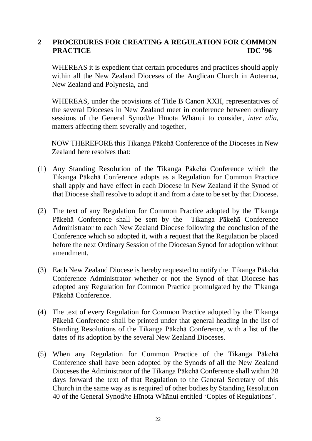## **2 PROCEDURES FOR CREATING A REGULATION FOR COMMON PRACTICE IDC '96**

WHEREAS it is expedient that certain procedures and practices should apply within all the New Zealand Dioceses of the Anglican Church in Aotearoa, New Zealand and Polynesia, and

WHEREAS, under the provisions of Title B Canon XXII, representatives of the several Dioceses in New Zealand meet in conference between ordinary sessions of the General Synod/te Hīnota Whānui to consider, *inter alia,*  matters affecting them severally and together,

NOW THEREFORE this Tikanga Pākehā Conference of the Dioceses in New Zealand here resolves that:

- (1) Any Standing Resolution of the Tikanga Pākehā Conference which the Tikanga Pākehā Conference adopts as a Regulation for Common Practice shall apply and have effect in each Diocese in New Zealand if the Synod of that Diocese shall resolve to adopt it and from a date to be set by that Diocese.
- (2) The text of any Regulation for Common Practice adopted by the Tikanga Pākehā Conference shall be sent by the Tikanga Pākehā Conference Administrator to each New Zealand Diocese following the conclusion of the Conference which so adopted it, with a request that the Regulation be placed before the next Ordinary Session of the Diocesan Synod for adoption without amendment.
- (3) Each New Zealand Diocese is hereby requested to notify the Tikanga Pākehā Conference Administrator whether or not the Synod of that Diocese has adopted any Regulation for Common Practice promulgated by the Tikanga Pākehā Conference.
- (4) The text of every Regulation for Common Practice adopted by the Tikanga Pākehā Conference shall be printed under that general heading in the list of Standing Resolutions of the Tikanga Pākehā Conference, with a list of the dates of its adoption by the several New Zealand Dioceses.
- (5) When any Regulation for Common Practice of the Tikanga Pākehā Conference shall have been adopted by the Synods of all the New Zealand Dioceses the Administrator of the Tikanga Pākehā Conference shall within 28 days forward the text of that Regulation to the General Secretary of this Church in the same way as is required of other bodies by Standing Resolution 40 of the General Synod/te Hīnota Whānui entitled 'Copies of Regulations'.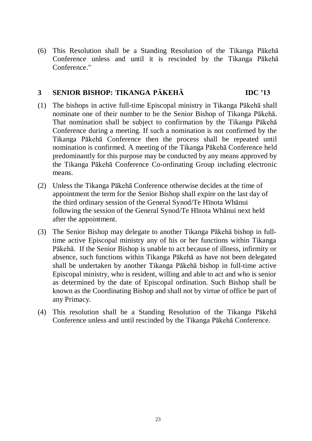(6) This Resolution shall be a Standing Resolution of the Tikanga Pākehā Conference unless and until it is rescinded by the Tikanga Pākehā Conference."

## **3 SENIOR BISHOP: TIKANGA PĀKEHĀ IDC '13**

- (1) The bishops in active full-time Episcopal ministry in Tikanga Pākehā shall nominate one of their number to be the Senior Bishop of Tikanga Pākehā. That nomination shall be subject to confirmation by the Tikanga Pākehā Conference during a meeting. If such a nomination is not confirmed by the Tikanga Pākehā Conference then the process shall be repeated until nomination is confirmed. A meeting of the Tikanga Pākehā Conference held predominantly for this purpose may be conducted by any means approved by the Tikanga Pākehā Conference Co-ordinating Group including electronic means.
- (2) Unless the Tikanga Pākehā Conference otherwise decides at the time of appointment the term for the Senior Bishop shall expire on the last day of the third ordinary session of the General Synod/Te Hīnota Whānui following the session of the General Synod/Te Hīnota Whānui next held after the appointment.
- (3) The Senior Bishop may delegate to another Tikanga Pākehā bishop in fulltime active Episcopal ministry any of his or her functions within Tikanga Pākehā. If the Senior Bishop is unable to act because of illness, infirmity or absence, such functions within Tikanga Pākehā as have not been delegated shall be undertaken by another Tikanga Pākehā bishop in full-time active Episcopal ministry, who is resident, willing and able to act and who is senior as determined by the date of Episcopal ordination. Such Bishop shall be known as the Coordinating Bishop and shall not by virtue of office be part of any Primacy.
- (4) This resolution shall be a Standing Resolution of the Tikanga Pākehā Conference unless and until rescinded by the Tikanga Pākehā Conference.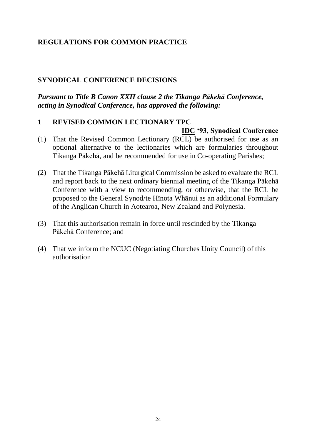## **REGULATIONS FOR COMMON PRACTICE**

#### **SYNODICAL CONFERENCE DECISIONS**

*Pursuant to Title B Canon XXII clause 2 the Tikanga Pākehā Conference, acting in Synodical Conference, has approved the following:*

#### **1 REVISED COMMON LECTIONARY TPC**

- **IDC '93, Synodical Conference** (1) That the Revised Common Lectionary (RCL) be authorised for use as an optional alternative to the lectionaries which are formularies throughout Tikanga Pākehā, and be recommended for use in Co-operating Parishes;
- (2) That the Tikanga Pākehā Liturgical Commission be asked to evaluate the RCL and report back to the next ordinary biennial meeting of the Tikanga Pākehā Conference with a view to recommending, or otherwise, that the RCL be proposed to the General Synod/te Hīnota Whānui as an additional Formulary of the Anglican Church in Aotearoa, New Zealand and Polynesia.
- (3) That this authorisation remain in force until rescinded by the Tikanga Pākehā Conference; and
- (4) That we inform the NCUC (Negotiating Churches Unity Council) of this authorisation